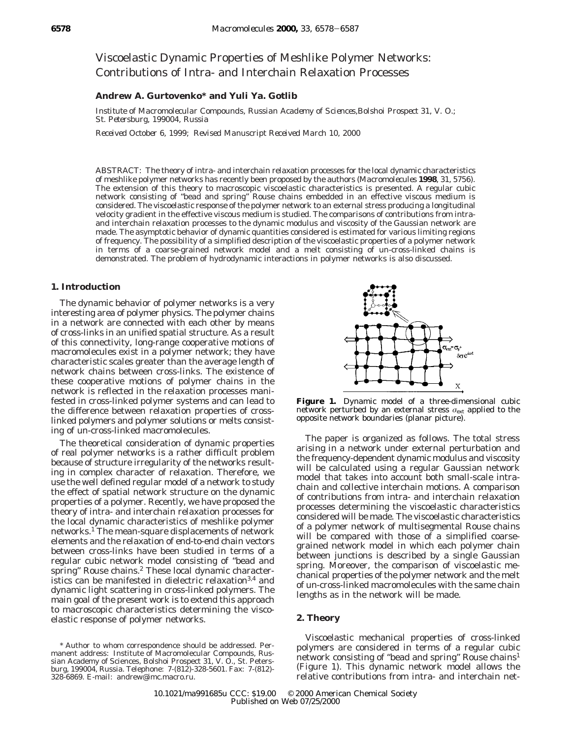Viscoelastic Dynamic Properties of Meshlike Polymer Networks: Contributions of Intra- and Interchain Relaxation Processes

## **Andrew A. Gurtovenko\* and Yuli Ya. Gotlib**

*Institute of Macromolecular Compounds, Russian Academy of Sciences,Bolshoi Prospect 31, V. O.; St. Petersburg, 199004, Russia*

*Received October 6, 1999; Revised Manuscript Received March 10, 2000*

ABSTRACT: The theory of intra- and interchain relaxation processes for the local dynamic characteristics of meshlike polymer networks has recently been proposed by the authors (*Macromolecules* **1998**, *31*, 5756). The extension of this theory to macroscopic viscoelastic characteristics is presented. A regular cubic network consisting of "bead and spring" Rouse chains embedded in an effective viscous medium is considered. The viscoelastic response of the polymer network to an external stress producing a longitudinal velocity gradient in the effective viscous medium is studied. The comparisons of contributions from intraand interchain relaxation processes to the dynamic modulus and viscosity of the Gaussian network are made. The asymptotic behavior of dynamic quantities considered is estimated for various limiting regions of frequency. The possibility of a simplified description of the viscoelastic properties of a polymer network in terms of a coarse-grained network model and a melt consisting of un-cross-linked chains is demonstrated. The problem of hydrodynamic interactions in polymer networks is also discussed.

## **1. Introduction**

The dynamic behavior of polymer networks is a very interesting area of polymer physics. The polymer chains in a network are connected with each other by means of cross-links in an unified spatial structure. As a result of this connectivity, long-range cooperative motions of macromolecules exist in a polymer network; they have characteristic scales greater than the average length of network chains between cross-links. The existence of these cooperative motions of polymer chains in the network is reflected in the relaxation processes manifested in cross-linked polymer systems and can lead to the difference between relaxation properties of crosslinked polymers and polymer solutions or melts consisting of un-cross-linked macromolecules.

The theoretical consideration of dynamic properties of real polymer networks is a rather difficult problem because of structure irregularity of the networks resulting in complex character of relaxation. Therefore, we use the well defined regular model of a network to study the effect of spatial network structure on the dynamic properties of a polymer. Recently, we have proposed the theory of intra- and interchain relaxation processes for the local dynamic characteristics of meshlike polymer networks.<sup>1</sup> The mean-square displacements of network elements and the relaxation of end-to-end chain vectors between cross-links have been studied in terms of a regular cubic network model consisting of "bead and spring" Rouse chains.<sup>2</sup> These local dynamic characteristics can be manifested in dielectric relaxation<sup>3,4</sup> and dynamic light scattering in cross-linked polymers. The main goal of the present work is to extend this approach to macroscopic characteristics determining the viscoelastic response of polymer networks.



**Figure 1.** Dynamic model of a three-dimensional cubic network perturbed by an external stress *σ*ext applied to the opposite network boundaries (planar picture).

The paper is organized as follows. The total stress arising in a network under external perturbation and the frequency-dependent dynamic modulus and viscosity will be calculated using a regular Gaussian network model that takes into account both small-scale intrachain and collective interchain motions. A comparison of contributions from intra- and interchain relaxation processes determining the viscoelastic characteristics considered will be made. The viscoelastic characteristics of a polymer network of multisegmental Rouse chains will be compared with those of a simplified coarsegrained network model in which each polymer chain between junctions is described by a single Gaussian spring. Moreover, the comparison of viscoelastic mechanical properties of the polymer network and the melt of un-cross-linked macromolecules with the same chain lengths as in the network will be made.

# **2. Theory**

Viscoelastic mechanical properties of cross-linked polymers are considered in terms of a regular cubic network consisting of "bead and spring" Rouse chains1 (Figure 1). This dynamic network model allows the relative contributions from intra- and interchain net-

<sup>\*</sup> Author to whom correspondence should be addressed. Permanent address: Institute of Macromolecular Compounds, Russian Academy of Sciences, Bolshoi Prospect 31, V. O., St. Petersburg, 199004, Russia. Telephone: 7-(812)-328-5601. Fax: 7-(812)- 328-6869. E-mail: andrew@imc.macro.ru.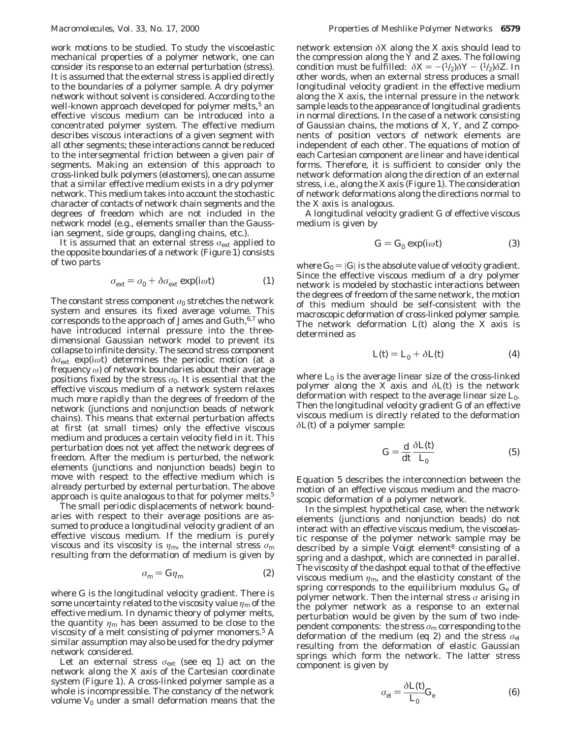work motions to be studied. To study the viscoelastic mechanical properties of a polymer network, one can consider its response to an external perturbation (stress). It is assumed that the external stress is applied directly to the boundaries of a polymer sample. A dry polymer network without solvent is considered. According to the well-known approach developed for polymer melts,<sup>5</sup> an effective viscous medium can be introduced into a concentrated polymer system. The effective medium describes viscous interactions of a given segment with all other segments; these interactions cannot be reduced to the intersegmental friction between a given pair of segments. Making an extension of this approach to cross-linked bulk polymers (elastomers), one can assume that a similar effective medium exists in a dry polymer network. This medium takes into account the stochastic character of contacts of network chain segments and the degrees of freedom which are not included in the network model (e.g., elements smaller than the Gaussian segment, side groups, dangling chains, etc.).

It is assumed that an external stress  $\sigma_{\text{ext}}$  applied to the opposite boundaries of a network (Figure 1) consists of two parts

$$
\sigma_{\text{ext}} = \sigma_0 + \delta \sigma_{\text{ext}} \exp(i\omega t) \tag{1}
$$

The constant stress component  $\sigma_0$  stretches the network system and ensures its fixed average volume. This corresponds to the approach of James and Guth, 6,7 who have introduced internal pressure into the threedimensional Gaussian network model to prevent its collapse to infinite density. The second stress component *δσ*ext exp(*iωt*) determines the periodic motion (at a frequency *ω*) of network boundaries about their average positions fixed by the stress  $\sigma_0$ . It is essential that the effective viscous medium of a network system relaxes much more rapidly than the degrees of freedom of the network (junctions and nonjunction beads of network chains). This means that external perturbation affects at first (at small times) only the effective viscous medium and produces a certain velocity field in it. This perturbation does not yet affect the network degrees of freedom. After the medium is perturbed, the network elements (junctions and nonjunction beads) begin to move with respect to the effective medium which is already perturbed by external perturbation. The above approach is quite analogous to that for polymer melts.<sup>5</sup>

The small periodic displacements of network boundaries with respect to their average positions are assumed to produce a longitudinal velocity gradient of an effective viscous medium. If the medium is purely viscous and its viscosity is  $\eta_m$ , the internal stress  $\sigma_m$ resulting from the deformation of medium is given by

$$
\sigma_{\rm m} = G \eta_{\rm m} \tag{2}
$$

where *G* is the longitudinal velocity gradient. There is some uncertainty related to the viscosity value *η*<sup>m</sup> of the effective medium. In dynamic theory of polymer melts, the quantity  $\eta_m$  has been assumed to be close to the viscosity of a melt consisting of polymer monomers.5 A similar assumption may also be used for the dry polymer network considered.

Let an external stress  $\sigma_{ext}$  (see eq 1) act on the network along the *X* axis of the Cartesian coordinate system (Figure 1). A cross-linked polymer sample as a whole is incompressible. The constancy of the network volume *V*<sup>0</sup> under a small deformation means that the

network extension *δX* along the *X* axis should lead to the compression along the *Y* and *Z* axes. The following condition must be fulfilled:  $\delta X = -(1/2)\delta Y - (1/2)\delta Z$ . In other words, when an external stress produces a small longitudinal velocity gradient in the effective medium along the *X* axis, the internal pressure in the network sample leads to the appearance of longitudinal gradients in normal directions. In the case of a network consisting of Gaussian chains, the motions of *X*, *Y*, and *Z* components of position vectors of network elements are independent of each other. The equations of motion of each Cartesian component are linear and have identical forms. Therefore, it is sufficient to consider only the network deformation along the direction of an external stress, i.e., along the *X* axis (Figure 1). The consideration of network deformations along the directions normal to the *X* axis is analogous.

A longitudinal velocity gradient *G* of effective viscous medium is given by

$$
G = G_0 \exp(i\omega t) \tag{3}
$$

where  $G_0 = |G|$  is the absolute value of velocity gradient. Since the effective viscous medium of a dry polymer network is modeled by stochastic interactions between the degrees of freedom of the same network, the motion of this medium should be self-consistent with the macroscopic deformation of cross-linked polymer sample. The network deformation *L*(*t*) along the *X* axis is determined as

$$
L(t) = L_0 + \delta L(t) \tag{4}
$$

where  $L_0$  is the average linear size of the cross-linked polymer along the *X* axis and  $\delta L(t)$  is the network deformation with respect to the average linear size *L*0. Then the longitudinal velocity gradient *G* of an effective viscous medium is directly related to the deformation *δL*(*t*) of a polymer sample:

$$
G = \frac{\mathrm{d}}{\mathrm{d}t} \frac{\delta L(t)}{L_0} \tag{5}
$$

Equation 5 describes the interconnection between the motion of an effective viscous medium and the macroscopic deformation of a polymer network.

In the simplest hypothetical case, when the network elements (junctions and nonjunction beads) do not interact with an effective viscous medium, the viscoelastic response of the polymer network sample may be described by a simple Voigt element<sup>8</sup> consisting of a spring and a dashpot, which are connected in parallel. The viscosity of the dashpot equal to that of the effective viscous medium  $\eta_m$ , and the elasticity constant of the spring corresponds to the equilibrium modulus *G*<sup>e</sup> of polymer network. Then the internal stress *σ* arising in the polymer network as a response to an external perturbation would be given by the sum of two independent components: the stress  $\sigma_{\rm m}$  corresponding to the deformation of the medium (eq 2) and the stress *σ*el resulting from the deformation of elastic Gaussian springs which form the network. The latter stress component is given by

$$
\sigma_{\rm el} = \frac{\delta L(t)}{L_0} G_{\rm e} \tag{6}
$$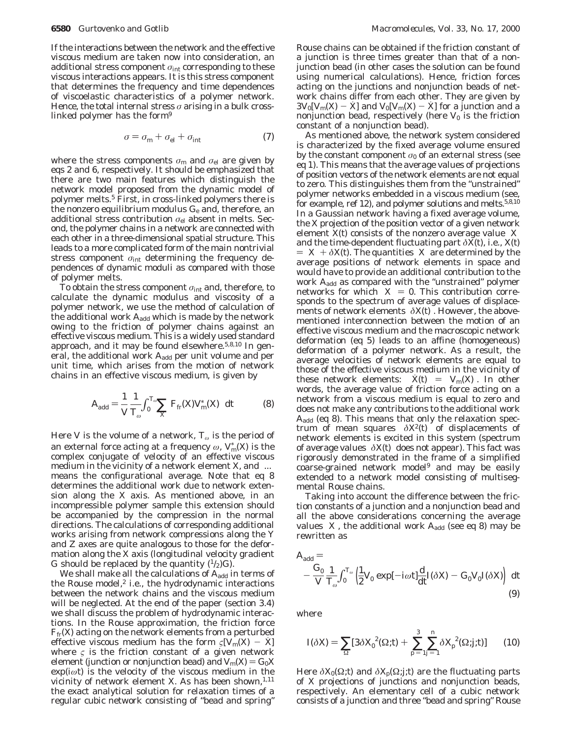If the interactions between the network and the effective viscous medium are taken now into consideration, an additional stress component *σ*int corresponding to these viscous interactions appears. It is this stress component that determines the frequency and time dependences of viscoelastic characteristics of a polymer network. Hence, the total internal stress  $\sigma$  arising in a bulk crosslinked polymer has the form<sup>9</sup>

$$
\sigma = \sigma_{\rm m} + \sigma_{\rm el} + \sigma_{\rm int} \tag{7}
$$

where the stress components  $\sigma_{m}$  and  $\sigma_{el}$  are given by eqs 2 and 6, respectively. It should be emphasized that there are two main features which distinguish the network model proposed from the dynamic model of polymer melts.5 First, in cross-linked polymers there is the nonzero equilibrium modulus  $G<sub>e</sub>$  and, therefore, an additional stress contribution *σ*el absent in melts. Second, the polymer chains in a network are connected with each other in a three-dimensional spatial structure. This leads to a more complicated form of the main nontrivial stress component *σ*int determining the frequency dependences of dynamic moduli as compared with those of polymer melts.

To obtain the stress component *σ*int and, therefore, to calculate the dynamic modulus and viscosity of a polymer network, we use the method of calculation of the additional work  $A_{\text{add}}$  which is made by the network owing to the friction of polymer chains against an effective viscous medium. This is a widely used standard approach, and it may be found elsewhere.5,8,10 In general, the additional work  $A_{\text{add}}$  per unit volume and per unit time, which arises from the motion of network chains in an effective viscous medium, is given by

$$
A_{\text{add}} = \frac{1}{V} \frac{1}{T_{\omega}} \int_0^{T_{\omega}} \sum_X \langle F_{\text{fr}}(X) V_{\text{m}}^*(X) \rangle \, \mathrm{d}t \tag{8}
$$

Here *V* is the volume of a network, *T<sup>ω</sup>* is the period of an external force acting at a frequency  $\omega$ ,  $V_{\text{m}}^{*}(X)$  is the complex conjugate of velocity of an effective viscous medium in the vicinity of a network element *X*, and  $\langle ... \rangle$ means the configurational average. Note that eq 8 determines the additional work due to network extension along the *X* axis. As mentioned above, in an incompressible polymer sample this extension should be accompanied by the compression in the normal directions. The calculations of corresponding additional works arising from network compressions along the *Y* and *Z* axes are quite analogous to those for the deformation along the *X* axis (longitudinal velocity gradient *G* should be replaced by the quantity  $({}^{1}/_{2})$ *G*).

We shall make all the calculations of  $A_{add}$  in terms of the Rouse model, $2$  i.e., the hydrodynamic interactions between the network chains and the viscous medium will be neglected. At the end of the paper (section 3.4) we shall discuss the problem of hydrodynamic interactions. In the Rouse approximation, the friction force  $F_{\text{fr}}(X)$  acting on the network elements from a perturbed effective viscous medium has the form  $\zeta$ [ $V_m(X) - X$ ] where *ς* is the friction constant of a given network element (junction or nonjunction bead) and  $V_m(X) = G_0 X$ exp(*iωt*) is the velocity of the viscous medium in the vicinity of network element  $X$ . As has been shown,<sup>1,11</sup> the exact analytical solution for relaxation times of a regular cubic network consisting of "bead and spring"

Rouse chains can be obtained if the friction constant of a junction is three times greater than that of a nonjunction bead (in other cases the solution can be found using numerical calculations). Hence, friction forces acting on the junctions and nonjunction beads of network chains differ from each other. They are given by  $3V_0[V_m(X) - \dot{X}]$  and  $V_0[V_m(X) - \dot{X}]$  for a junction and a nonjunction bead, respectively (here  $V_0$  is the friction constant of a nonjunction bead).

As mentioned above, the network system considered is characterized by the fixed average volume ensured by the constant component  $\sigma_0$  of an external stress (see eq 1). This means that the average values of projections of position vectors of the network elements are not equal to zero. This distinguishes them from the "unstrained" polymer networks embedded in a viscous medium (see, for example, ref 12), and polymer solutions and melts. $5,8,10$ In a Gaussian network having a fixed average volume, the X projection of the position vector of a given network element  $X(t)$  consists of the nonzero average value  $\langle X \rangle$ and the time-dependent fluctuating part *δX*(*t*), i.e., *X*(*t*)  $=\langle X\rangle + \delta X(t)$ . The quantities  $\langle X\rangle$  are determined by the average positions of network elements in space and would have to provide an additional contribution to the work  $A_{add}$  as compared with the "unstrained" polymer networks for which  $\langle X \rangle = 0$ . This contribution corresponds to the spectrum of average values of displacements of network elements 〈*δX*(*t*)〉. However, the abovementioned interconnection between the motion of an effective viscous medium and the macroscopic network deformation (eq 5) leads to an affine (homogeneous) deformation of a polymer network. As a result, the average velocities of network elements are equal to those of the effective viscous medium in the vicinity of these network elements:  $\langle X(t) \rangle = \langle V_m(X) \rangle$ . In other words, the average value of friction force acting on a network from a viscous medium is equal to zero and does not make any contributions to the additional work  $A_{add}$  (eq 8). This means that only the relaxation spectrum of mean squares 〈*δX*2(*t*)〉 of displacements of network elements is excited in this system (spectrum of average values  $\langle \delta X(t) \rangle$  does not appear). This fact was rigorously demonstrated in the frame of a simplified coarse-grained network model9 and may be easily extended to a network model consisting of multisegmental Rouse chains.

Taking into account the difference between the friction constants of a junction and a nonjunction bead and all the above considerations concerning the average values  $\langle X \rangle$ , the additional work  $A_{\text{add}}$  (see eq 8) may be rewritten as

$$
A_{\text{add}} =
$$
  

$$
- \frac{G_0}{V} \frac{1}{T_{\omega}} \int_0^{T_{\omega}} \left\langle \left( \frac{1}{2} V_0 \exp[-i\omega t] \frac{d}{dt} I(\delta X) - G_0 V_0 I(\delta X) \right) \right\rangle dt
$$
  
(9)

where

$$
I(\delta X) = \sum_{\Omega} [3\delta X_0^2(\Omega;t) + \sum_{p=1}^3 \sum_{j=1}^n \delta X_p^2(\Omega;j;t)] \qquad (10)
$$

Here  $\delta X_0(\Omega; t)$  and  $\delta X_p(\Omega; t, t)$  are the fluctuating parts of *X* projections of junctions and nonjunction beads, respectively. An elementary cell of a cubic network consists of a junction and three "bead and spring" Rouse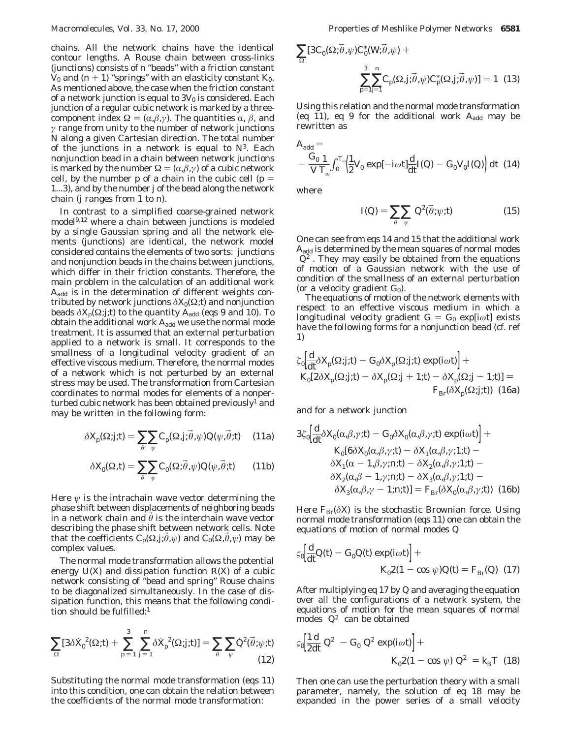chains. All the network chains have the identical contour lengths. A Rouse chain between cross-links (junctions) consists of *n* "beads" with a friction constant *V*<sub>0</sub> and  $(n + 1)$  "springs" with an elasticity constant  $K_0$ . As mentioned above, the case when the friction constant of a network junction is equal to  $3V_0$  is considered. Each junction of a regular cubic network is marked by a threecomponent index  $\Omega = (\alpha, \beta, \gamma)$ . The quantities α, *β*, and *γ* range from unity to the number of network junctions *N* along a given Cartesian direction. The total number of the junctions in a network is equal to  $N^3$ . Each nonjunction bead in a chain between network junctions is marked by the number  $\Omega = (\alpha, \beta, \gamma)$  of a cubic network cell, by the number  $p$  of a chain in the cubic cell ( $p =$ 1*...*3), and by the number *j* of the bead along the network chain (*j* ranges from 1 to *n*).

In contrast to a simplified coarse-grained network model9,12 where a chain between junctions is modeled by a single Gaussian spring and all the network elements (junctions) are identical, the network model considered contains the elements of two sorts: junctions and nonjunction beads in the chains between junctions, which differ in their friction constants. Therefore, the main problem in the calculation of an additional work  $A_{\text{add}}$  is in the determination of different weights contributed by network junctions  $\delta X_0(\Omega;t)$  and nonjunction beads  $\delta X_p(\Omega; j; t)$  to the quantity  $A_{\text{add}}$  (eqs 9 and 10). To obtain the additional work  $A_{add}$  we use the normal mode treatment. It is assumed that an external perturbation applied to a network is small. It corresponds to the smallness of a longitudinal velocity gradient of an effective viscous medium. Therefore, the normal modes of a network which is not perturbed by an external stress may be used. The transformation from Cartesian coordinates to normal modes for elements of a nonperturbed cubic network has been obtained previously<sup>1</sup> and may be written in the following form:

$$
\delta X_p(\Omega;j,t) = \sum_{\vec{\theta}} \sum_{\psi} C_p(\Omega,j,\vec{\theta},\psi) Q(\psi,\vec{\theta};t) \quad (11a)
$$

$$
\delta X_0(\Omega, t) = \sum_{\vec{\theta}} \sum_{\psi} C_0(\Omega; \vec{\theta}, \psi) Q(\psi, \vec{\theta}; t) \qquad (11b)
$$

Here  $\psi$  is the intrachain wave vector determining the phase shift between displacements of neighboring beads in a network chain and  $\theta$  is the interchain wave vector describing the phase shift between network cells. Note that the coefficients  $C_p(\Omega, j; \theta, \psi)$  and  $C_0(\Omega, \theta, \psi)$  may be complex values.

The normal mode transformation allows the potential energy  $U(X)$  and dissipation function  $R(X)$  of a cubic network consisting of "bead and spring" Rouse chains to be diagonalized simultaneously. In the case of dissipation function, this means that the following condition should be fulfilled:<sup>1</sup>

$$
\sum_{\Omega} [3\delta X_0^2(\Omega;t) + \sum_{p=1}^3 \sum_{j=1}^n \delta X_p^2(\Omega;j;t)] = \sum_{\tilde{\theta}} \sum_{\psi} \tilde{Q}^2(\tilde{\theta};\psi;t)
$$
\n(12)

Substituting the normal mode transformation (eqs 11) into this condition, one can obtain the relation between the coefficients of the normal mode transformation:

$$
\sum_{\Omega} [3C_0(\Omega; \vec{\theta}, \psi) C_0^*(W; \vec{\theta}, \psi) +
$$
  

$$
\sum_{p=1}^3 \sum_{j=1}^n C_p(\Omega_j; \vec{\theta}, \psi) C_p^*(\Omega_j; \vec{\theta}, \psi)] = 1
$$
 (13)

Using this relation and the normal mode transformation (eq 11), eq 9 for the additional work  $A_{add}$  may be rewritten as

$$
A_{\text{add}} =
$$
  
-  $\frac{G_0}{VT_\omega} \int_0^{T_\omega} \left(\frac{1}{2}V_0 \exp[-i\omega t] \frac{d}{dt}I(Q) - G_0 V_0 I(Q)\right) dt$  (14)

where

$$
I(Q) = \sum_{\vec{\theta}} \sum_{\psi} \langle Q^2(\vec{\theta}; \psi; t) \rangle \tag{15}
$$

One can see from eqs 14 and 15 that the additional work  $A_{\text{add}}$  is determined by the mean squares of normal modes  $\langle Q^2 \rangle$ . They may easily be obtained from the equations of motion of a Gaussian network with the use of condition of the smallness of an external perturbation (or a velocity gradient *G*0).

The equations of motion of the network elements with respect to an effective viscous medium in which a longitudinal velocity gradient  $G = G_0 \exp[i\omega t]$  exists have the following forms for a nonjunction bead (cf. ref 1)

$$
\zeta_0 \left[ \frac{d}{dt} \delta X_p(\Omega; j; t) - G_0 \delta X_p(\Omega; j; t) \exp(i\omega t) \right] +
$$
  
\n
$$
K_0[2\delta X_p(\Omega; j; t) - \delta X_p(\Omega; j + 1; t) - \delta X_p(\Omega; j - 1; t)] =
$$
  
\n
$$
F_{Br}(\delta X_p(\Omega; j; t))
$$
 (16a)

and for a network junction

$$
3\xi_0 \left[ \frac{d}{dt} \delta X_0(\alpha, \beta, \gamma; t) - G_0 \delta X_0(\alpha, \beta, \gamma; t) \exp(i\omega t) \right] +
$$
  
\n
$$
K_0[6\delta X_0(\alpha, \beta, \gamma; t) - \delta X_1(\alpha, \beta, \gamma; 1; t) -
$$
  
\n
$$
\delta X_1(\alpha - 1, \beta, \gamma; n; t) - \delta X_2(\alpha, \beta, \gamma; 1; t) -
$$
  
\n
$$
\delta X_2(\alpha, \beta - 1, \gamma; n; t) - \delta X_3(\alpha, \beta, \gamma; 1; t) -
$$
  
\n
$$
\delta X_3(\alpha, \beta, \gamma - 1; n; t) = F_{\text{Br}}(\delta X_0(\alpha, \beta, \gamma; t))
$$
 (16b)

Here  $F_{\text{Br}}(\delta X)$  is the stochastic Brownian force. Using normal mode transformation (eqs 11) one can obtain the equations of motion of normal modes *Q*

$$
\varsigma_0 \left[ \frac{\mathrm{d}}{\mathrm{d}t} Q(t) - G_0 Q(t) \exp(i\omega t) \right] +
$$
  
 
$$
K_0 2(1 - \cos \psi) Q(t) = F_{\mathrm{Br}}(Q) \quad (17)
$$

After multiplying eq 17 by *Q* and averaging the equation over all the configurations of a network system, the equations of motion for the mean squares of normal modes  $\langle Q^2 \rangle$  can be obtained

$$
\varsigma_0 \left[ \frac{1 \mathrm{d}}{2 \mathrm{d}t} \langle Q^2 \rangle - G_0 \langle Q^2 \rangle \exp(i \omega t) \right] +
$$
  
 
$$
K_0 2 (1 - \cos \psi) \langle Q^2 \rangle = k_\mathrm{B} T \quad (18)
$$

Then one can use the perturbation theory with a small parameter, namely, the solution of eq 18 may be expanded in the power series of a small velocity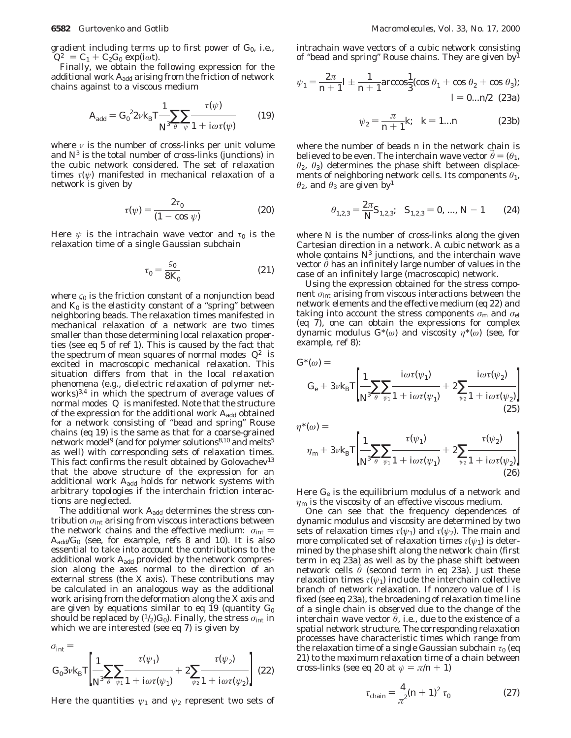gradient including terms up to first power of *G*0, i.e.,  $\langle Q^2 \rangle = C_1 + C_2 G_0 \exp(i\omega t).$ 

Finally, we obtain the following expression for the additional work A<sub>add</sub> arising from the friction of network chains against to a viscous medium

$$
A_{\rm add} = G_0^2 2\nu k_{\rm B} T \frac{1}{N^3} \sum_{\vec{\theta}} \sum_{\psi} \frac{\tau(\psi)}{1 + i\omega \tau(\psi)} \tag{19}
$$

where *ν* is the number of cross-links per unit volume and  $N<sup>3</sup>$  is the total number of cross-links (junctions) in the cubic network considered. The set of relaxation times  $\tau(\psi)$  manifested in mechanical relaxation of a network is given by

$$
\tau(\psi) = \frac{2\tau_0}{(1 - \cos \psi)}\tag{20}
$$

Here  $\psi$  is the intrachain wave vector and  $\tau_0$  is the relaxation time of a single Gaussian subchain

$$
\tau_0 = \frac{5_0}{8K_0} \tag{21}
$$

where *ς*<sup>0</sup> is the friction constant of a nonjunction bead and *K*<sup>0</sup> is the elasticity constant of a "spring" between neighboring beads. The relaxation times manifested in mechanical relaxation of a network are two times smaller than those determining local relaxation properties (see eq 5 of ref 1). This is caused by the fact that the spectrum of mean squares of normal modes  $\langle Q^2 \rangle$  is excited in macroscopic mechanical relaxation. This situation differs from that in the local relaxation phenomena (e.g., dielectric relaxation of polymer networks)3,4 in which the spectrum of average values of normal modes  $\langle Q \rangle$  is manifested. Note that the structure of the expression for the additional work A<sub>add</sub> obtained for a network consisting of "bead and spring" Rouse chains (eq 19) is the same as that for a coarse-grained network model<sup>9</sup> (and for polymer solutions<sup>8,10</sup> and melts<sup>5</sup> as well) with corresponding sets of relaxation times. This fact confirms the result obtained by Golovachev<sup>13</sup> that the above structure of the expression for an additional work A<sub>add</sub> holds for network systems with arbitrary topologies if the interchain friction interactions are neglected.

The additional work A<sub>add</sub> determines the stress contribution *σ*int arising from viscous interactions between the network chains and the effective medium:  $\sigma_{int}$  =  $A_{\text{add}}/G_0$  (see, for example, refs 8 and 10). It is also essential to take into account the contributions to the additional work  $A_{\text{add}}$  provided by the network compression along the axes normal to the direction of an external stress (the *X* axis). These contributions may be calculated in an analogous way as the additional work arising from the deformation along the *X* axis and are given by equations similar to eq 19 (quantity *G*<sup>0</sup> should be replaced by  $(1/2)G_0$ ). Finally, the stress  $\sigma_{int}$  in which we are interested (see eq 7) is given by

$$
\sigma_{int} = \frac{\tau(\psi_1)}{\int N^3 \, \bar{\theta} \, \psi_1} \left[ \frac{1}{N^3 \, \bar{\theta} \, \psi_1} \sum_{\psi_1} \frac{\tau(\psi_1)}{1 + i \omega \tau(\psi_1)} + 2 \sum_{\psi_2} \frac{\tau(\psi_2)}{1 + i \omega \tau(\psi_2)} \right] \tag{22}
$$

Here the quantities  $\psi_1$  and  $\psi_2$  represent two sets of

intrachain wave vectors of a cubic network consisting of "bead and spring" Rouse chains. They are given by  $1$ 

$$
\psi_1 = \frac{2\pi}{n+1} l \pm \frac{1}{n+1} \arccos \frac{1}{3} (\cos \theta_1 + \cos \theta_2 + \cos \theta_3);
$$
  

$$
l = 0...n/2 \quad (23a)
$$

$$
\psi_2 = \frac{\pi}{n+1}k; \quad k = 1...n \tag{23b}
$$

where the number of beads *n* in the network chain is believed to be even. The interchain wave vector  $\theta = (\theta_1, \theta_2)$  $θ_2$ ,  $θ_3$ ) determines the phase shift between displacements of neighboring network cells. Its components *θ*1,  $\theta_2$ , and  $\theta_3$  are given by<sup>1</sup>

$$
\theta_{1,2,3} = \frac{2\pi}{N} S_{1,2,3}; \quad S_{1,2,3} = 0, \dots, N-1 \qquad (24)
$$

where *N* is the number of cross-links along the given Cartesian direction in a network. A cubic network as a whole contains  $N<sup>3</sup>$  junctions, and the interchain wave vector  $\theta$  has an infinitely large number of values in the case of an infinitely large (macroscopic) network.

Using the expression obtained for the stress component *σ*int arising from viscous interactions between the network elements and the effective medium (eq 22) and taking into account the stress components  $\sigma_{\rm m}$  and  $\sigma_{\rm el}$ (eq 7), one can obtain the expressions for complex dynamic modulus *G*\*(*ω*) and viscosity *η*\*(*ω*) (see, for example, ref 8):

$$
G^*(\omega) =
$$
  

$$
G + 3\omega k \sqrt{\frac{1}{N} \sum_{i=1}^{N} G_i(\psi_i)}
$$

$$
G_{\rm e} + 3\nu k_{\rm B}T\left[\frac{1}{N^3\overline{\theta}}\sum_{\psi_1}\frac{i\omega\tau(\psi_1)}{1+i\omega\tau(\psi_1)} + 2\sum_{\psi_2}\frac{i\omega\tau(\psi_2)}{1+i\omega\tau(\psi_2)}\right]
$$
(25)

*iωτ*( $\psi$ <sup>2</sup>) ]

$$
\eta^*(\omega) =
$$
  

$$
\eta_{\rm m} + 3\nu k_{\rm B} T \left[ \frac{1}{N^{\beta} \bar{\theta} \psi_1} \sum_{\psi_1 + i\omega \tau(\psi_1)} \frac{\tau(\psi_1)}{N^{\beta} \bar{\theta} \psi_2} + 2 \sum_{\psi_2 + i\omega \tau(\psi_2)} \frac{\tau(\psi_2)}{N^{\beta} \bar{\theta} \psi_1} \right]
$$
(26)

Here *G*<sup>e</sup> is the equilibrium modulus of a network and *η*<sup>m</sup> is the viscosity of an effective viscous medium.

One can see that the frequency dependences of dynamic modulus and viscosity are determined by two sets of relaxation times  $\tau(\psi_1)$  and  $\tau(\psi_2)$ . The main and more complicated set of relaxation times  $\tau(\psi_1)$  is determined by the phase shift along the network chain (first term in eq 23a) as well as by the phase shift between network cells  $\theta$  (second term in eq 23a). Just these relaxation times  $\tau(\psi_1)$  include the interchain collective branch of network relaxation. If nonzero value of *l* is fixed (see eq 23a), the broadening of relaxation time line of a single chain is observed due to the change of the interchain wave vector  $\theta$ , i.e., due to the existence of a spatial network structure. The corresponding relaxation processes have characteristic times which range from the relaxation time of a single Gaussian subchain *τ*<sub>0</sub> (eq 21) to the maximum relaxation time of a chain between cross-links (see eq 20 at  $\psi = \pi/n + 1$ )

$$
\tau_{\text{chain}} = \frac{4}{\pi^2} (n+1)^2 \tau_0 \tag{27}
$$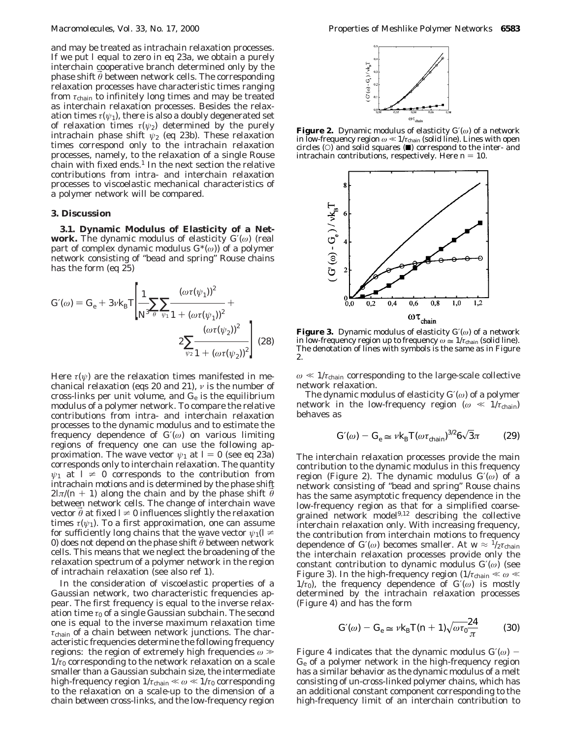and may be treated as intrachain relaxation processes. If we put *l* equal to zero in eq 23a, we obtain a purely interchain cooperative branch determined only by the phase shift *θ* between network cells. The corresponding relaxation processes have characteristic times ranging from *τ*chain to infinitely long times and may be treated as interchain relaxation processes. Besides the relaxation times  $\tau(\psi_1)$ , there is also a doubly degenerated set of relaxation times  $\tau(\psi_2)$  determined by the purely intrachain phase shift *ψ*<sup>2</sup> (eq 23b). These relaxation times correspond only to the intrachain relaxation processes, namely, to the relaxation of a single Rouse chain with fixed ends. $1$  In the next section the relative contributions from intra- and interchain relaxation processes to viscoelastic mechanical characteristics of a polymer network will be compared.

### **3. Discussion**

**3.1. Dynamic Modulus of Elasticity of a Network.** The dynamic modulus of elasticity *G*′(*ω*) (real part of complex dynamic modulus *G*\*(*ω*)) of a polymer network consisting of "bead and spring" Rouse chains has the form (eq 25)

$$
G(\omega) = G_{\rm e} + 3\nu k_{\rm B} T \left[ \frac{1}{N^3} \sum_{\theta} \sum_{\psi_1} \frac{(\omega \tau(\psi_1))^2}{1 + (\omega \tau(\psi_1))^2} + 2 \sum_{\psi_2} \frac{(\omega \tau(\psi_2))^2}{1 + (\omega \tau(\psi_2))^2} \right] (28)
$$

Here  $\tau(\psi)$  are the relaxation times manifested in mechanical relaxation (eqs 20 and 21), *ν* is the number of cross-links per unit volume, and *G*<sup>e</sup> is the equilibrium modulus of a polymer network. To compare the relative contributions from intra- and interchain relaxation processes to the dynamic modulus and to estimate the frequency dependence of *G*′(*ω*) on various limiting regions of frequency one can use the following approximation. The wave vector  $\psi_1$  at  $l = 0$  (see eq 23a) corresponds only to interchain relaxation. The quantity  $\psi_1$  at  $\ell \neq 0$  corresponds to the contribution from intrachain motions and is determined by the phase shift  $2\pi/(n+1)$  along the chain and by the phase shift  $\theta$ between network cells. The change of interchain wave vector  $\theta$  at fixed  $l \neq 0$  influences slightly the relaxation times  $\tau(\psi_1)$ . To a first approximation, one can assume for sufficiently long chains that the wave vector  $\psi_1(l \neq$ 0) does not depend on the phase shift θ between network cells. This means that we neglect the broadening of the relaxation spectrum of a polymer network in the region of intrachain relaxation (see also ref 1).

In the consideration of viscoelastic properties of a Gaussian network, two characteristic frequencies appear. The first frequency is equal to the inverse relaxation time *τ*<sub>0</sub> of a single Gaussian subchain. The second one is equal to the inverse maximum relaxation time *τ*chain of a chain between network junctions. The characteristic frequencies determine the following frequency regions: the region of extremely high frequencies *<sup>ω</sup>* .  $1/\tau_0$  corresponding to the network relaxation on a scale smaller than a Gaussian subchain size, the intermediate high-frequency region  $1/\tau_{\text{chain}} \ll \omega \ll 1/\tau_0$  corresponding to the relaxation on a scale-up to the dimension of a chain between cross-links, and the low-frequency region



**Figure 2.** Dynamic modulus of elasticity *G*′(*ω*) of a network in low-frequency region  $\omega \ll 1/\tau_{\text{chain}}$  (solid line). Lines with open circles  $(0)$  and solid squares  $(4)$  correspond to the inter- and intrachain contributions, respectively. Here  $n = 10$ .



**Figure 3.** Dynamic modulus of elasticity *G*′(*ω*) of a network in low-frequency region up to frequency  $\omega \approx 1/\tau_{\text{chain}}$  (solid line). The denotation of lines with symbols is the same as in Figure 2.

 $\omega \ll 1/\tau_{\text{chain}}$  corresponding to the large-scale collective network relaxation.

The dynamic modulus of elasticity *G*′(*ω*) of a polymer network in the low-frequency region ( $\omega \ll 1/\tau_{\text{chain}}$ ) behaves as

$$
G(\omega) - G_{\rm e} \simeq \nu k_{\rm B} T(\omega \tau_{\rm chain})^{3/2} 6\sqrt{3}\pi \tag{29}
$$

The interchain relaxation processes provide the main contribution to the dynamic modulus in this frequency region (Figure 2). The dynamic modulus *G*′(*ω*) of a network consisting of "bead and spring" Rouse chains has the same asymptotic frequency dependence in the low-frequency region as that for a simplified coarsegrained network model $9,12$  describing the collective interchain relaxation only. With increasing frequency, the contribution from interchain motions to frequency dependence of  $G'(\omega)$  becomes smaller. At  $w \approx \frac{1}{2}\tau_{\text{chain}}$ the interchain relaxation processes provide only the constant contribution to dynamic modulus *G*′(*ω*) (see Figure 3). In the high-frequency region  $(1/\tau_{chain} \ll \omega \ll$  $1/\tau_0$ ), the frequency dependence of  $G'(\omega)$  is mostly determined by the intrachain relaxation processes (Figure 4) and has the form

$$
G(\omega) - G_{\rm e} \simeq \nu k_{\rm B} T(n+1) \sqrt{\omega \tau_0^2 \frac{24}{\pi}} \tag{30}
$$

Figure 4 indicates that the dynamic modulus  $G'(\omega)$  – *G*<sup>e</sup> of a polymer network in the high-frequency region has a similar behavior as the dynamic modulus of a melt consisting of un-cross-linked polymer chains, which has an additional constant component corresponding to the high-frequency limit of an interchain contribution to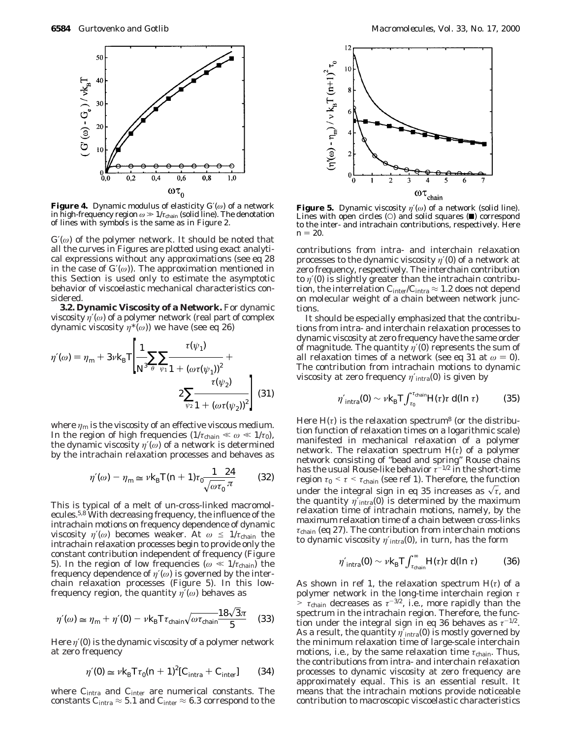

**Figure 4.** Dynamic modulus of elasticity *G*′(*ω*) of a network in high-frequency region  $\omega \gg 1/\tau_{\text{chain}}$  (solid line). The denotation of lines with symbols is the same as in Figure 2.

*G*′(*ω*) of the polymer network. It should be noted that all the curves in Figures are plotted using exact analytical expressions without any approximations (see eq 28 in the case of  $G(\omega)$ ). The approximation mentioned in this Section is used only to estimate the asymptotic behavior of viscoelastic mechanical characteristics considered.

**3.2. Dynamic Viscosity of a Network.** For dynamic viscosity *η*′(*ω*) of a polymer network (real part of complex dynamic viscosity  $\eta^*(\omega)$ ) we have (see eq 26)

$$
\eta'(\omega) = \eta_{\rm m} + 3\nu k_{\rm B} T \left[ \frac{1}{N^3} \sum_{\theta} \sum_{\psi_1} \frac{\tau(\psi_1)}{1 + (\omega \tau(\psi_1))^2} + 2 \sum_{\psi_2} \frac{\tau(\psi_2)}{1 + (\omega \tau(\psi_2))^2} \right] (31)
$$

where  $\eta_m$  is the viscosity of an effective viscous medium. In the region of high frequencies  $(1/\tau_{chain} \ll \omega \ll 1/\tau_0)$ , the dynamic viscosity *η*′(*ω*) of a network is determined by the intrachain relaxation processes and behaves as

$$
\eta'(\omega) - \eta_{\mathbf{m}} \simeq \nu k_{\mathbf{B}} T(n+1) \tau_0 \frac{1 \ 24}{\sqrt{\omega \tau_0} \pi} \tag{32}
$$

This is typical of a melt of un-cross-linked macromolecules.5,8 With decreasing frequency, the influence of the intrachain motions on frequency dependence of dynamic viscosity  $\eta'(\omega)$  becomes weaker. At  $\omega \leq 1/\tau_{\text{chain}}$  the intrachain relaxation processes begin to provide only the constant contribution independent of frequency (Figure 5). In the region of low frequencies ( $\omega \ll 1/\tau_{\text{chain}}$ ) the frequency dependence of *η*′(*ω*) is governed by the interchain relaxation processes (Figure 5). In this lowfrequency region, the quantity *η*′(*ω*) behaves as

$$
\eta'(\omega) \simeq \eta_{\rm m} + \eta'(0) - \nu k_{\rm B} T \tau_{\rm chain} \sqrt{\omega \tau_{\rm chain} \frac{18\sqrt{3}\pi}{5}} \tag{33}
$$

Here *η*′(0) is the dynamic viscosity of a polymer network at zero frequency

$$
\eta'(0) \simeq \nu k_{\rm B} T \tau_0 (n+1)^2 [C_{\rm intra} + C_{\rm inter}] \qquad (34)
$$

where *C*intra and *C*inter are numerical constants. The constants  $C_{\text{intra}} \approx 5.1$  and  $C_{\text{inter}} \approx 6.3$  correspond to the



**Figure 5.** Dynamic viscosity *η*′(*ω*) of a network (solid line). Lines with open circles  $(0)$  and solid squares  $(1)$  correspond to the inter- and intrachain contributions, respectively. Here  $n = 20$ .

contributions from intra- and interchain relaxation processes to the dynamic viscosity *η*′(0) of a network at zero frequency, respectively. The interchain contribution to *η*′(0) is slightly greater than the intrachain contribution, the interrelation  $C_{\text{inter}}/C_{\text{intra}} \approx 1.2$  does not depend on molecular weight of a chain between network junctions.

It should be especially emphasized that the contributions from intra- and interchain relaxation processes to dynamic viscosity at zero frequency have the same order of magnitude. The quantity *η*′(0) represents the sum of all relaxation times of a network (see eq 31 at  $\omega = 0$ ). The contribution from intrachain motions to dynamic viscosity at zero frequency *η*′intra(0) is given by

$$
\eta'_{intra}(0) \sim \nu k_{\rm B} T \int_{\tau_0}^{\tau_{\rm chain}} H(\tau) \tau \ d(\ln \tau) \tag{35}
$$

Here  $H(\tau)$  is the relaxation spectrum<sup>8</sup> (or the distribution function of relaxation times on a logarithmic scale) manifested in mechanical relaxation of a polymer network. The relaxation spectrum *H*(*τ*) of a polymer network consisting of "bead and spring" Rouse chains has the usual Rouse-like behavior  $\tau^{-1/2}$  in the short-time region  $\tau_0 < \tau < \tau_{\text{chain}}$  (see ref 1). Therefore, the function under the integral sign in eq 35 increases as  $\sqrt{\tau}$ , and the quantity  $\eta'_{intra}(0)$  is determined by the maximum relaxation time of intrachain motions, namely, by the maximum relaxation time of a chain between cross-links *τ*chain (eq 27). The contribution from interchain motions to dynamic viscosity *η*′intra(0), in turn, has the form

$$
\eta'_{\text{intra}}(0) \sim \nu k_{\text{B}} T \int_{\tau_{\text{chain}}}^{\infty} H(\tau) \tau \, \mathbf{d}(\ln \tau) \tag{36}
$$

As shown in ref 1, the relaxation spectrum *H*(*τ*) of a polymer network in the long-time interchain region *τ*  $> \tau_{\text{chain}}$  decreases as  $\tau^{-3/2}$ , i.e., more rapidly than the spectrum in the intrachain region. Therefore, the function under the integral sign in eq 36 behaves as  $\tau^{-1/2}$ . As a result, the quantity  $\eta'{}_{\text{intra}}(0)$  is mostly governed by the minimum relaxation time of large-scale interchain motions, i.e., by the same relaxation time *τ*<sub>chain</sub>. Thus, the contributions from intra- and interchain relaxation processes to dynamic viscosity at zero frequency are approximately equal. This is an essential result. It means that the intrachain motions provide noticeable contribution to macroscopic viscoelastic characteristics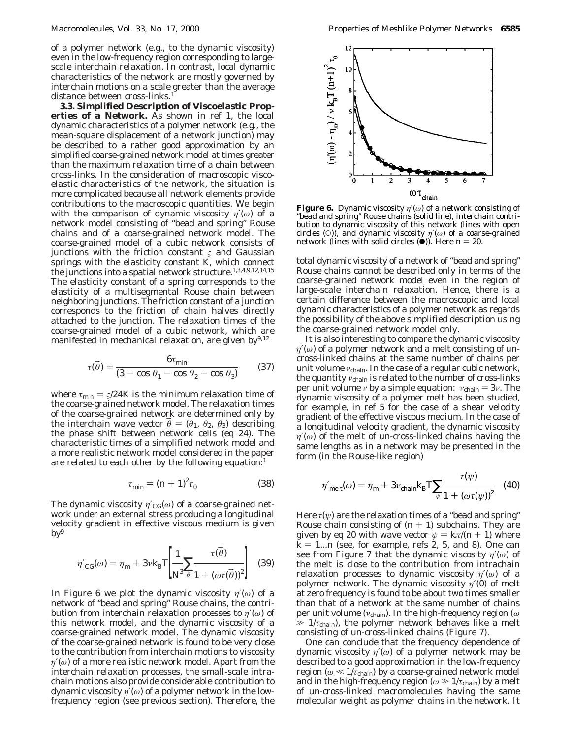of a polymer network (e.g., to the dynamic viscosity) even in the low-frequency region corresponding to largescale interchain relaxation. In contrast, local dynamic characteristics of the network are mostly governed by interchain motions on a scale greater than the average distance between cross-links.<sup>1</sup>

**3.3. Simplified Description of Viscoelastic Properties of a Network.** As shown in ref 1, the local dynamic characteristics of a polymer network (e.g., the mean-square displacement of a network junction) may be described to a rather good approximation by an simplified coarse-grained network model at times greater than the maximum relaxation time of a chain between cross-links. In the consideration of macroscopic viscoelastic characteristics of the network, the situation is more complicated because all network elements provide contributions to the macroscopic quantities. We begin with the comparison of dynamic viscosity *η*′(*ω*) of a network model consisting of "bead and spring" Rouse chains and of a coarse-grained network model. The coarse-grained model of a cubic network consists of junctions with the friction constant *ς* and Gaussian springs with the elasticity constant *K*, which connect the junctions into a spatial network structure.<sup>1,3,4,9,12,14,15</sup> The elasticity constant of a spring corresponds to the elasticity of a multisegmental Rouse chain between neighboring junctions. The friction constant of a junction corresponds to the friction of chain halves directly attached to the junction. The relaxation times of the coarse-grained model of a cubic network, which are manifested in mechanical relaxation, are given by<sup>9,12</sup>

$$
\tau(\vec{\theta}) = \frac{6\tau_{\min}}{(3 - \cos\theta_1 - \cos\theta_2 - \cos\theta_3)}
$$
(37)

where  $\tau_{\min} = \frac{c}{24K}$  is the minimum relaxation time of the coarse-grained network model. The relaxation times of the coarse-grained network are determined only by the interchain wave vector  $\hat{\theta} = (\theta_1, \theta_2, \theta_3)$  describing the phase shift between network cells (eq 24). The characteristic times of a simplified network model and a more realistic network model considered in the paper are related to each other by the following equation: $<sup>1</sup>$ </sup>

$$
\tau_{\min} = (n+1)^2 \tau_0 \tag{38}
$$

The dynamic viscosity *η*′*CG*(*ω*) of a coarse-grained network under an external stress producing a longitudinal velocity gradient in effective viscous medium is given  $by<sup>9</sup>$ 

$$
\eta'_{\text{CG}}(\omega) = \eta_{\text{m}} + 3\nu k_{\text{B}} \mathcal{T} \left[ \frac{1}{N^3} \sum_{\hat{\theta}} \frac{\tau(\hat{\theta})}{1 + (\omega \tau(\hat{\theta}))^2} \right] \tag{39}
$$

In Figure 6 we plot the dynamic viscosity *η*′(*ω*) of a network of "bead and spring" Rouse chains, the contribution from interchain relaxation processes to *η*′(*ω*) of this network model, and the dynamic viscosity of a coarse-grained network model. The dynamic viscosity of the coarse-grained network is found to be very close to the contribution from interchain motions to viscosity *η*′(*ω*) of a more realistic network model. Apart from the interchain relaxation processes, the small-scale intrachain motions also provide considerable contribution to dynamic viscosity *η*′(*ω*) of a polymer network in the lowfrequency region (see previous section). Therefore, the



**Figure 6.** Dynamic viscosity *η*′(*ω*) of a network consisting of "bead and spring" Rouse chains (solid line), interchain contribution to dynamic viscosity of this network (lines with open circles (O)), and dynamic viscosity *η*′(*ω*) of a coarse-grained network (lines with solid circles  $(\bullet)$ ). Here *n* = 20.

total dynamic viscosity of a network of "bead and spring" Rouse chains cannot be described only in terms of the coarse-grained network model even in the region of large-scale interchain relaxation. Hence, there is a certain difference between the macroscopic and local dynamic characteristics of a polymer network as regards the possibility of the above simplified description using the coarse-grained network model only.

It is also interesting to compare the dynamic viscosity *η*′(*ω*) of a polymer network and a melt consisting of uncross-linked chains at the same number of chains per unit volume *ν*chain. In the case of a regular cubic network, the quantity *ν*chain is related to the number of cross-links per unit volume  $\nu$  by a simple equation:  $\nu_{chain} = 3\nu$ . The dynamic viscosity of a polymer melt has been studied, for example, in ref 5 for the case of a shear velocity gradient of the effective viscous medium. In the case of a longitudinal velocity gradient, the dynamic viscosity *η*′(*ω*) of the melt of un-cross-linked chains having the same lengths as in a network may be presented in the form (in the Rouse-like region)

$$
\eta'_{\text{melt}}(\omega) = \eta_{\text{m}} + 3\nu_{\text{chain}} k_{\text{B}} T \sum_{\psi} \frac{\tau(\psi)}{1 + (\omega \tau(\psi))^2} \tag{40}
$$

Here  $\tau(\psi)$  are the relaxation times of a "bead and spring" Rouse chain consisting of  $(n + 1)$  subchains. They are given by eq 20 with wave vector  $\psi = k\pi/(n + 1)$  where  $k = 1...n$  (see, for example, refs 2, 5, and 8). One can see from Figure 7 that the dynamic viscosity *η*′(*ω*) of the melt is close to the contribution from intrachain relaxation processes to dynamic viscosity *η*′(*ω*) of a polymer network. The dynamic viscosity *η*′(0) of melt at zero frequency is found to be about two times smaller than that of a network at the same number of chains per unit volume (*ν*chain). In the high-frequency region (*ω*  $\gg 1/\tau_{\text{chain}}$ , the polymer network behaves like a melt consisting of un-cross-linked chains (Figure 7).

One can conclude that the frequency dependence of dynamic viscosity *η*′(*ω*) of a polymer network may be described to a good approximation in the low-frequency region ( $\omega \ll 1/\tau_{\text{chain}}$ ) by a coarse-grained network model and in the high-frequency region ( $\omega \gg 1/\tau_{\text{chain}}$ ) by a melt of un-cross-linked macromolecules having the same molecular weight as polymer chains in the network. It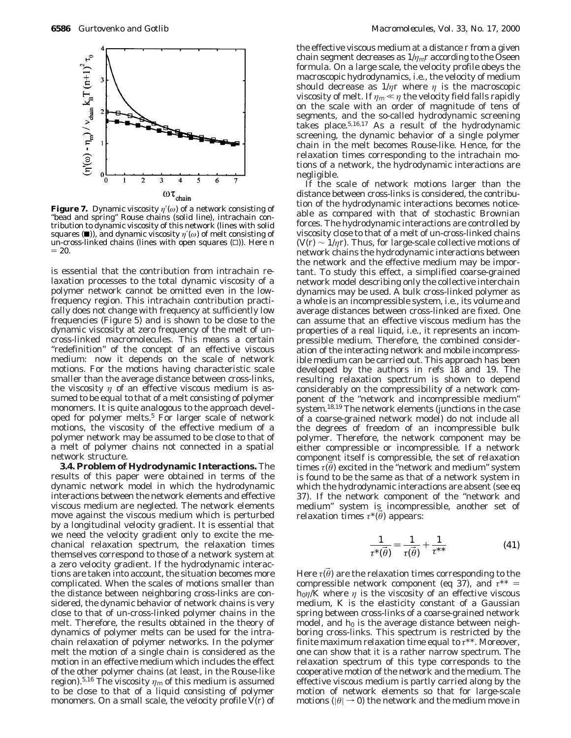

**Figure 7.** Dynamic viscosity *η*′(*ω*) of a network consisting of "bead and spring" Rouse chains (solid line), intrachain contribution to dynamic viscosity of this network (lines with solid squares (9)), and dynamic viscosity *η*′(*ω*) of melt consisting of un-cross-linked chains (lines with open squares  $(\Box)$ ). Here *n*  $= 20.$ 

is essential that the contribution from intrachain relaxation processes to the total dynamic viscosity of a polymer network cannot be omitted even in the lowfrequency region. This intrachain contribution practically does not change with frequency at sufficiently low frequencies (Figure 5) and is shown to be close to the dynamic viscosity at zero frequency of the melt of uncross-linked macromolecules. This means a certain "redefinition" of the concept of an effective viscous medium: now it depends on the scale of network motions. For the motions having characteristic scale smaller than the average distance between cross-links, the viscosity *η* of an effective viscous medium is assumed to be equal to that of a melt consisting of polymer monomers. It is quite analogous to the approach developed for polymer melts.5 For larger scale of network motions, the viscosity of the effective medium of a polymer network may be assumed to be close to that of a melt of polymer chains not connected in a spatial network structure.

**3.4. Problem of Hydrodynamic Interactions.** The results of this paper were obtained in terms of the dynamic network model in which the hydrodynamic interactions between the network elements and effective viscous medium are neglected. The network elements move against the viscous medium which is perturbed by a longitudinal velocity gradient. It is essential that we need the velocity gradient only to excite the mechanical relaxation spectrum, the relaxation times themselves correspond to those of a network system at a zero velocity gradient. If the hydrodynamic interactions are taken into account, the situation becomes more complicated. When the scales of motions smaller than the distance between neighboring cross-links are considered, the dynamic behavior of network chains is very close to that of un-cross-linked polymer chains in the melt. Therefore, the results obtained in the theory of dynamics of polymer melts can be used for the intrachain relaxation of polymer networks. In the polymer melt the motion of a single chain is considered as the motion in an effective medium which includes the effect of the other polymer chains (at least, in the Rouse-like region).<sup>5,16</sup> The viscosity  $\eta_m$  of this medium is assumed to be close to that of a liquid consisting of polymer monomers. On a small scale, the velocity profile  $V(r)$  of

the effective viscous medium at a distance *r* from a given chain segment decreases as  $1/\eta_m r$  according to the Oseen formula. On a large scale, the velocity profile obeys the macroscopic hydrodynamics, i.e., the velocity of medium should decrease as  $1/\eta r$  where  $\eta$  is the macroscopic viscosity of melt. If  $\eta_m \ll \eta$  the velocity field falls rapidly on the scale with an order of magnitude of tens of segments, and the so-called hydrodynamic screening takes place.<sup>5,16,17</sup> As a result of the hydrodynamic screening, the dynamic behavior of a single polymer chain in the melt becomes Rouse-like. Hence, for the relaxation times corresponding to the intrachain motions of a network, the hydrodynamic interactions are negligible.

If the scale of network motions larger than the distance between cross-links is considered, the contribution of the hydrodynamic interactions becomes noticeable as compared with that of stochastic Brownian forces. The hydrodynamic interactions are controlled by viscosity close to that of a melt of un-cross-linked chains  $(V(r) \sim 1/\eta r)$ . Thus, for large-scale collective motions of network chains the hydrodynamic interactions between the network and the effective medium may be important. To study this effect, a simplified coarse-grained network model describing only the collective interchain dynamics may be used. A bulk cross-linked polymer as a whole is an incompressible system, i.e., its volume and average distances between cross-linked are fixed. One can assume that an effective viscous medium has the properties of a real liquid, i.e., it represents an incompressible medium. Therefore, the combined consideration of the interacting network and mobile incompressible medium can be carried out. This approach has been developed by the authors in refs 18 and 19. The resulting relaxation spectrum is shown to depend considerably on the compressibility of a network component of the "network and incompressible medium" system.18,19 The network elements (junctions in the case of a coarse-grained network model) do not include all the degrees of freedom of an incompressible bulk polymer. Therefore, the network component may be either compressible or incompressible. If a network component itself is compressible, the set of relaxation times  $\tau(\theta)$  excited in the "network and medium" system is found to be the same as that of a network system in which the hydrodynamic interactions are absent (see eq 37). If the network component of the "network and medium" system is incompressible, another set of relaxation times *<sup>τ</sup>*\*(B*θ*) appears:

$$
\frac{1}{\tau^*(\vec{\theta})} = \frac{1}{\tau(\vec{\theta})} + \frac{1}{\tau^{**}}
$$
(41)

Here  $\tau(\theta)$  are the relaxation times corresponding to the compressible network component (eq 37), and  $\tau^{**} =$  $h_0\eta/K$  where  $\eta$  is the viscosity of an effective viscous medium, *K* is the elasticity constant of a Gaussian spring between cross-links of a coarse-grained network model, and  $h_0$  is the average distance between neighboring cross-links. This spectrum is restricted by the finite maximum relaxation time equal to *τ*\*\*. Moreover, one can show that it is a rather narrow spectrum. The relaxation spectrum of this type corresponds to the cooperative motion of the network and the medium. The effective viscous medium is partly carried along by the motion of network elements so that for large-scale motions ( $|\theta| \rightarrow 0$ ) the network and the medium move in